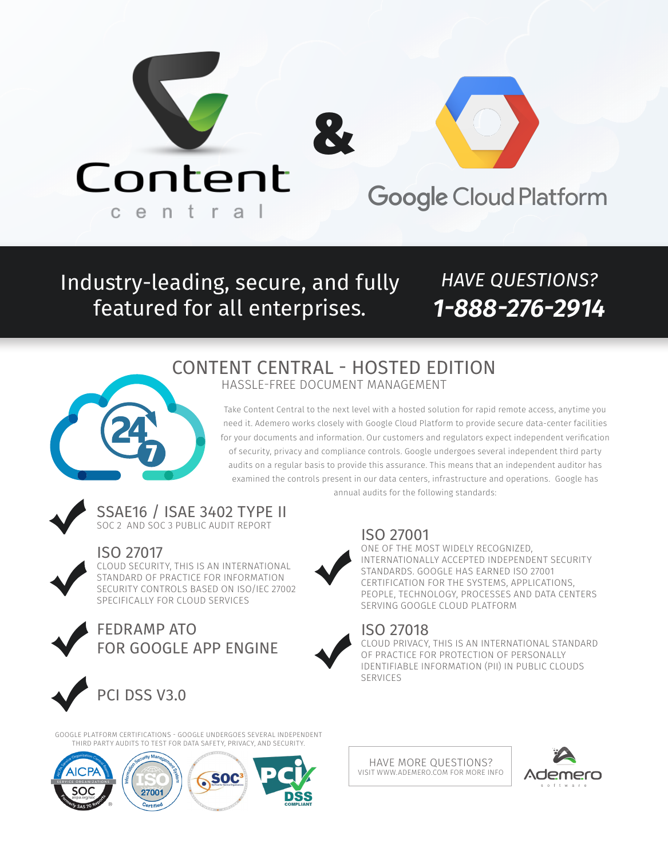

Industry-leading, secure, and fully featured for all enterprises.

# *HAVE QUESTIONS? 1-888-276-2914*

# CONTENT CENTRAL - HOSTED EDITION HASSLE-FREE DOCUMENT MANAGEMENT



Take Content Central to the next level with a hosted solution for rapid remote access, anytime you need it. Ademero works closely with Google Cloud Platform to provide secure data-center facilities for your documents and information. Our customers and regulators expect independent verification of security, privacy and compliance controls. Google undergoes several independent third party audits on a regular basis to provide this assurance. This means that an independent auditor has examined the controls present in our data centers, infrastructure and operations. Google has annual audits for the following standards:



SSAE16 / ISAE 3402 TYPE II SOC 2 AND SOC 3 PUBLIC AUDIT REPORT



# ISO 27017

CLOUD SECURITY, THIS IS AN INTERNATIONAL STANDARD OF PRACTICE FOR INFORMATION SECURITY CONTROLS BASED ON ISO/IEC 27002 SPECIFICALLY FOR CLOUD SERVICES



FEDRAMP ATO FOR GOOGLE APP ENGINE









ISO 27001

ONE OF THE MOST WIDELY RECOGNIZED, INTERNATIONALLY ACCEPTED INDEPENDENT SECURITY STANDARDS. GOOGLE HAS EARNED ISO 27001 CERTIFICATION FOR THE SYSTEMS, APPLICATIONS, PEOPLE, TECHNOLOGY, PROCESSES AND DATA CENTERS SERVING GOOGLE CLOUD PLATFORM

## ISO 27018

CLOUD PRIVACY, THIS IS AN INTERNATIONAL STANDARD OF PRACTICE FOR PROTECTION OF PERSONALLY IDENTIFIABLE INFORMATION (PII) IN PUBLIC CLOUDS SERVICES

HAVE MORE QUESTIONS? VISIT WWW.ADEMERO.COM FOR MORE INFO